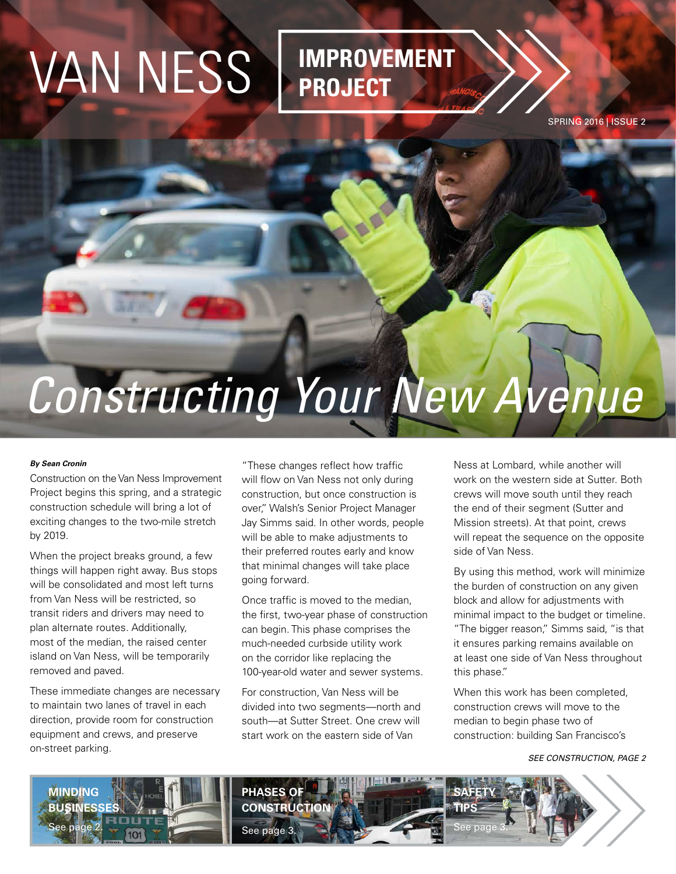# VAN NESS **IMPROVEMENT**

## **PROJECT**

SPRING 2016 | ISSUE 2

## *Constructing Your New Avenue*

## *By Sean Cronin*

Construction on the Van Ness Improvement Project begins this spring, and a strategic construction schedule will bring a lot of exciting changes to the two-mile stretch by 2019.

When the project breaks ground, a few things will happen right away. Bus stops will be consolidated and most left turns from Van Ness will be restricted, so transit riders and drivers may need to plan alternate routes. Additionally, most of the median, the raised center island on Van Ness, will be temporarily removed and paved.

These immediate changes are necessary to maintain two lanes of travel in each direction, provide room for construction equipment and crews, and preserve on-street parking.

"These changes reflect how traffic will flow on Van Ness not only during construction, but once construction is over," Walsh's Senior Project Manager Jay Simms said. In other words, people will be able to make adjustments to their preferred routes early and know that minimal changes will take place going forward.

Once traffic is moved to the median, the first, two-year phase of construction can begin. This phase comprises the much-needed curbside utility work on the corridor like replacing the 100-year-old water and sewer systems.

For construction, Van Ness will be divided into two segments—north and south—at Sutter Street. One crew will start work on the eastern side of Van

Ness at Lombard, while another will work on the western side at Sutter. Both crews will move south until they reach the end of their segment (Sutter and Mission streets). At that point, crews will repeat the sequence on the opposite side of Van Ness.

By using this method, work will minimize the burden of construction on any given block and allow for adjustments with minimal impact to the budget or timeline. "The bigger reason," Simms said, "is that it ensures parking remains available on at least one side of Van Ness throughout this phase."

When this work has been completed, construction crews will move to the median to begin phase two of construction: building San Francisco's

*SEE CONSTRUCTION, PAGE 2*

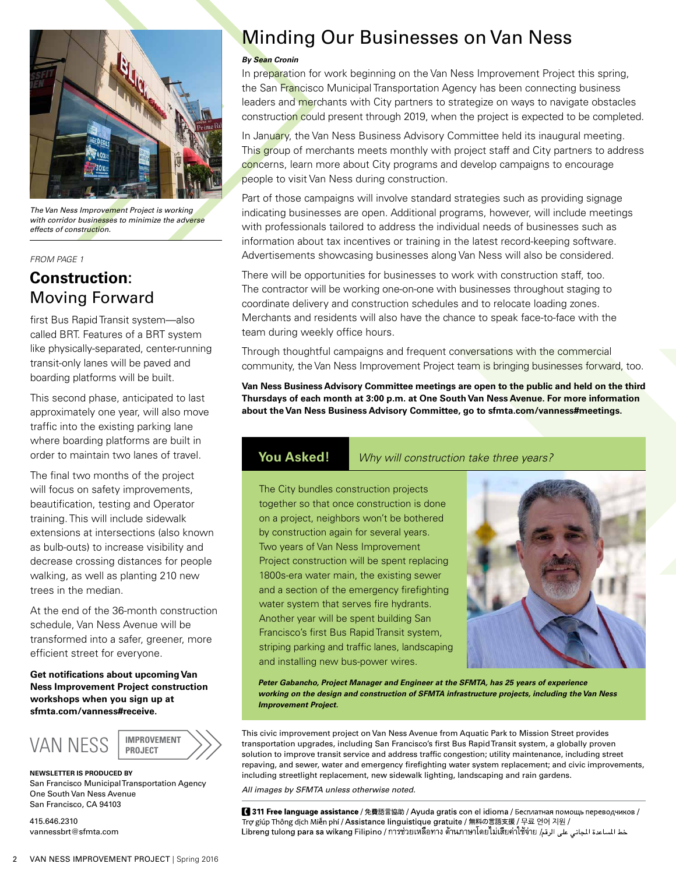

*The Van Ness Improvement Project is working with corridor businesses to minimize the adverse effects of construction.*

#### *FROM PAGE 1*

## **Construction**: Moving Forward

first Bus Rapid Transit system—also called BRT. Features of a BRT system like physically-separated, center-running transit-only lanes will be paved and boarding platforms will be built.

This second phase, anticipated to last approximately one year, will also move traffic into the existing parking lane where boarding platforms are built in order to maintain two lanes of travel.

The final two months of the project will focus on safety improvements, beautification, testing and Operator training. This will include sidewalk extensions at intersections (also known as bulb-outs) to increase visibility and decrease crossing distances for people walking, as well as planting 210 new trees in the median.

At the end of the 36-month construction schedule, Van Ness Avenue will be transformed into a safer, greener, more efficient street for everyone.

**Get notifications about upcoming Van Ness Improvement Project construction workshops when you sign up at sfmta.com/vanness#receive.**



**NEWSLETTER IS PRODUCED BY** San Francisco Municipal Transportation Agency One South Van Ness Avenue San Francisco, CA 94103

415.646.2310 vannessbrt@sfmta.com

## **Minding Our Businesses on Van Ness**

#### *By Sean Cronin*

In preparation for work beginning on the Van Ness Improvement Project this spring, the San Francisco Municipal Transportation Agency has been connecting business leaders and merchants with City partners to strategize on ways to navigate obstacles construction could present through 2019, when the project is expected to be completed.

In January, the Van Ness Business Advisory Committee held its inaugural meeting. This group of merchants meets monthly with project staff and City partners to address concerns, learn more about City programs and develop campaigns to encourage people to visit Van Ness during construction.

Part of those campaigns will involve standard strategies such as providing signage indicating businesses are open. Additional programs, however, will include meetings with professionals tailored to address the individual needs of businesses such as information about tax incentives or training in the latest record-keeping software. Advertisements showcasing businesses along Van Ness will also be considered.

There will be opportunities for businesses to work with construction staff, too. The contractor will be working one-on-one with businesses throughout staging to coordinate delivery and construction schedules and to relocate loading zones. Merchants and residents will also have the chance to speak face-to-face with the team during weekly office hours.

Through thoughtful campaigns and frequent conversations with the commercial community, the Van Ness Improvement Project team is bringing businesses forward, too.

**Van Ness Business Advisory Committee meetings are open to the public and held on the third Thursdays of each month at 3:00 p.m. at One South Van Ness Avenue. For more information about the Van Ness Business Advisory Committee, go to sfmta.com/vanness#meetings.**

**You Asked!** *Why will construction take three years?*

The City bundles construction projects together so that once construction is done on a project, neighbors won't be bothered by construction again for several years. Two years of Van Ness Improvement Project construction will be spent replacing 1800s-era water main, the existing sewer and a section of the emergency firefighting water system that serves fire hydrants. Another year will be spent building San Francisco's first Bus Rapid Transit system, striping parking and traffic lanes, landscaping and installing new bus-power wires.



*Peter Gabancho, Project Manager and Engineer at the SFMTA, has 25 years of experience working on the design and construction of SFMTA infrastructure projects, including the Van Ness Improvement Project.*

This civic improvement project on Van Ness Avenue from Aquatic Park to Mission Street provides transportation upgrades, including San Francisco's first Bus Rapid Transit system, a globally proven solution to improve transit service and address traffic congestion; utility maintenance, including street repaving, and sewer, water and emergency firefighting water system replacement; and civic improvements, including streetlight replacement, new sidewalk lighting, landscaping and rain gardens.

*All images by SFMTA unless otherwise noted.*

1311 Free language assistance / 免費語言協助 / Ayuda gratis con el idioma / Бесплатная помощь переводчиков / Trợ giúp Thông dịch Miễn phí / Assistance linguistique gratuite / 無料の言語支援 / 무료 언어 지원 / خط الساعدة الجاني على الرقم [عدائة|العامة]<br>خط الساعدة الجاني على الرقم [عدائة|العدائية مالية||العدائية مالية||طلاقة||Libreng tulong para sa wikang Filipino / การช่วยเหลือทาง ด้านภาษาโดย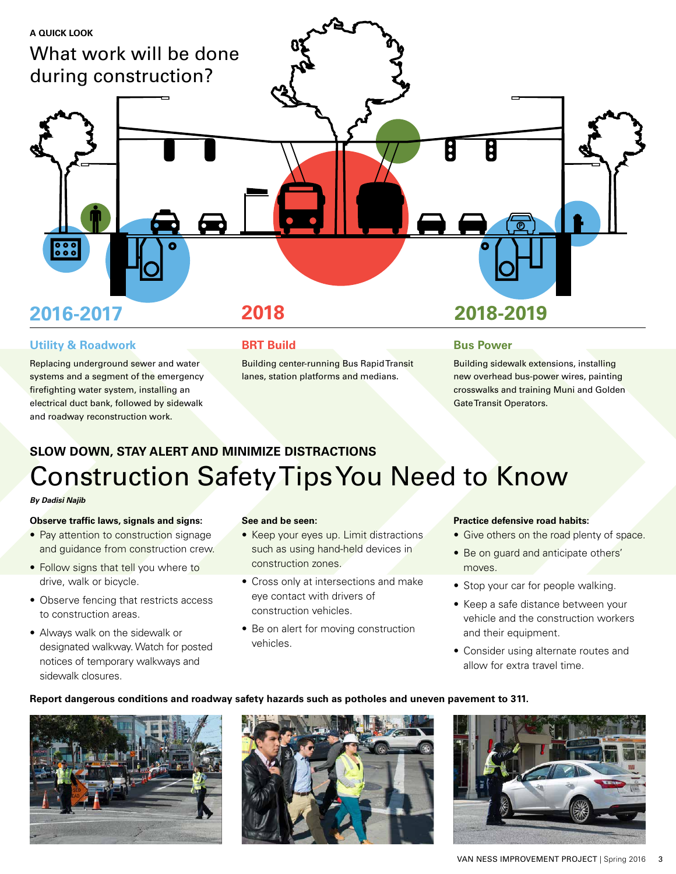

## **Utility & Roadwork**

Replacing underground sewer and water systems and a segment of the emergency firefighting water system, installing an electrical duct bank, followed by sidewalk and roadway reconstruction work.

## **BRT Build**

Building center-running Bus Rapid Transit lanes, station platforms and medians.

## **Bus Power**

Building sidewalk extensions, installing new overhead bus-power wires, painting crosswalks and training Muni and Golden Gate Transit Operators.

## **SLOW DOWN, STAY ALERT AND MINIMIZE DISTRACTIONS** Construction Safety Tips You Need to Know

### *By Dadisi Najib*

## **Observe traffic laws, signals and signs:**

- Pay attention to construction signage and guidance from construction crew.
- Follow signs that tell you where to drive, walk or bicycle.
- Observe fencing that restricts access to construction areas.
- Always walk on the sidewalk or designated walkway. Watch for posted notices of temporary walkways and sidewalk closures.

### **See and be seen:**

- Keep your eyes up. Limit distractions such as using hand-held devices in construction zones.
- Cross only at intersections and make eye contact with drivers of construction vehicles.
- Be on alert for moving construction vehicles.

## **Practice defensive road habits:**

- Give others on the road plenty of space.
- Be on guard and anticipate others' moves.
- Stop your car for people walking.
- Keep a safe distance between your vehicle and the construction workers and their equipment.
- Consider using alternate routes and allow for extra travel time.

## **Report dangerous conditions and roadway safety hazards such as potholes and uneven pavement to 311.**